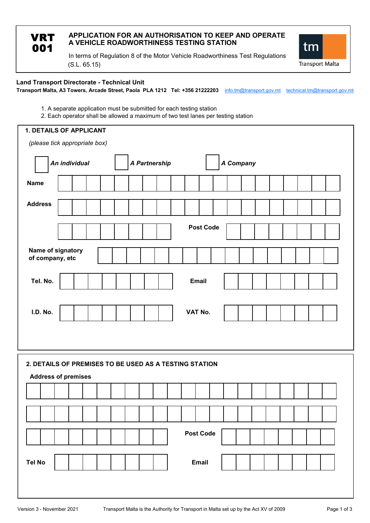| APPLICATION FOR AN AUTHORISATION TO KEEP AND OPERATE<br>A VEHICLE ROADWORTHINESS TESTING STATION |
|--------------------------------------------------------------------------------------------------|
| In terms of Requisition 8 of the Motor Vehicle Roadworthiness Test Requisitions                  |

(S.L. 65.15) In terms of Regulation 8 of the Motor Vehicle Roadworthiness Test Regulations tm

**Transport Malta** 

**Transport Malta, A3 Towers, Arcade Street, Paola PLA 1212 Tel: +356 21222203** info.tm@transport.gov.mt technical.tm@transport.gov.mt **Land Transport Directorate - Technical Unit**

1. A separate application must be submitted for each testing station

**VRT** 001

2. Each operator shall be allowed a maximum of two test lanes per testing station

| <b>1. DETAILS OF APPLICANT</b>                         |  |  |  |  |  |  |  |  |
|--------------------------------------------------------|--|--|--|--|--|--|--|--|
| (please tick appropriate box)                          |  |  |  |  |  |  |  |  |
| An individual<br>A Partnership<br>A Company            |  |  |  |  |  |  |  |  |
| <b>Name</b>                                            |  |  |  |  |  |  |  |  |
| <b>Address</b>                                         |  |  |  |  |  |  |  |  |
| <b>Post Code</b>                                       |  |  |  |  |  |  |  |  |
| Name of signatory<br>of company, etc                   |  |  |  |  |  |  |  |  |
| Tel. No.<br><b>Email</b>                               |  |  |  |  |  |  |  |  |
| I.D. No.<br>VAT No.                                    |  |  |  |  |  |  |  |  |
| 2. DETAILS OF PREMISES TO BE USED AS A TESTING STATION |  |  |  |  |  |  |  |  |
| <b>Address of premises</b>                             |  |  |  |  |  |  |  |  |
|                                                        |  |  |  |  |  |  |  |  |
|                                                        |  |  |  |  |  |  |  |  |
| Post Code                                              |  |  |  |  |  |  |  |  |
| <b>Tel No</b><br>Email                                 |  |  |  |  |  |  |  |  |
|                                                        |  |  |  |  |  |  |  |  |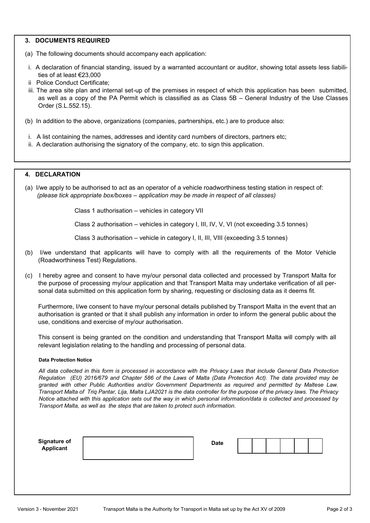## **3. DOCUMENTS REQUIRED**

- (a) The following documents should accompany each application:
- i. A declaration of financial standing, issued by a warranted accountant or auditor, showing total assets less liabilities of at least €23,000
- ii Police Conduct Certificate;
- iii. The area site plan and internal set-up of the premises in respect of which this application has been submitted, as well as a copy of the PA Permit which is classified as as Class 5B – General Industry of the Use Classes Order (S.L.552.15).
- (b) In addition to the above, organizations (companies, partnerships, etc.) are to produce also:
- i. A list containing the names, addresses and identity card numbers of directors, partners etc;
- ii. A declaration authorising the signatory of the company, etc. to sign this application.

# **4. DECLARATION**

(a) I/we apply to be authorised to act as an operator of a vehicle roadworthiness testing station in respect of:  *(please tick appropriate box/boxes – application may be made in respect of all classes)*

Class 1 authorisation – vehicles in category VII

Class 2 authorisation – vehicles in category I, III, IV, V, VI (not exceeding 3.5 tonnes)

Class 3 authorisation – vehicle in category I, II, III, VIII (exceeding 3.5 tonnes)

- (b) I/we understand that applicants will have to comply with all the requirements of the Motor Vehicle (Roadworthiness Test) Regulations.
- (c) I hereby agree and consent to have my/our personal data collected and processed by Transport Malta for the purpose of processing my/our application and that Transport Malta may undertake verification of all personal data submitted on this application form by sharing, requesting or disclosing data as it deems fit.

Furthermore, I/we consent to have my/our personal details published by Transport Malta in the event that an authorisation is granted or that it shall publish any information in order to inform the general public about the use, conditions and exercise of my/our authorisation.

This consent is being granted on the condition and understanding that Transport Malta will comply with all relevant legislation relating to the handling and processing of personal data.

## **Data Protection Notice**

*All data collected in this form is processed in accordance with the Privacy Laws that include General Data Protection Regulation (EU) 2016/679 and Chapter 586 of the Laws of Malta (Data Protection Act). The data provided may be granted with other Public Authorities and/or Government Departments as required and permitted by Maltese Law. Transport Malta of Triq Pantar, Lija, Malta LJA2021 is the data controller for the purpose of the privacy laws. The Privacy Notice attached with this application sets out the way in which personal information/data is collected and processed by Transport Malta, as well as the steps that are taken to protect such information.*

**Signature of Case of Case of Case of Case of Case of Case of Case of Case of Case of Case of Case of Case of Ca Applicant**

| ate |  |  |
|-----|--|--|
|     |  |  |